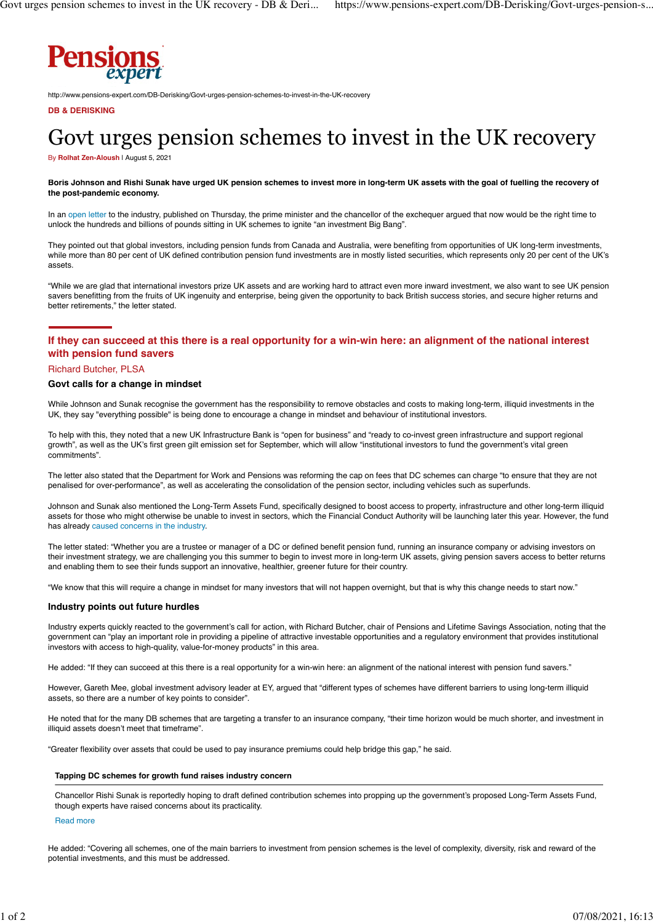

http://www.pensions-expert.com/DB-Derisking/Govt-urges-pension-schemes-to-invest-in-the-UK-recovery

#### **DB & DERISKING**

# Govt urges pension schemes to invest in the UK recovery

By **[Rolhat Zen-Aloush](https://www.pensions-expert.com/ftauthor/view/Rolhat+Zen-Aloush)** | August 5, 2021

#### **Boris Johnson and Rishi Sunak have urged UK pension schemes to invest more in long-term UK assets with the goal of fuelling the recovery of the post-pandemic economy.**

In an [open letter](https://www.gov.uk/government/news/prime-minister-and-chancellor-challenge-uk-investors-to-create-an-investment-big-bang-in-britain) to the industry, published on Thursday, the prime minister and the chancellor of the exchequer argued that now would be the right time to unlock the hundreds and billions of pounds sitting in UK schemes to ignite "an investment Big Bang".

They pointed out that global investors, including pension funds from Canada and Australia, were benefiting from opportunities of UK long-term investments, while more than 80 per cent of UK defined contribution pension fund investments are in mostly listed securities, which represents only 20 per cent of the UK's assets.

"While we are glad that international investors prize UK assets and are working hard to attract even more inward investment, we also want to see UK pension savers benefitting from the fruits of UK ingenuity and enterprise, being given the opportunity to back British success stories, and secure higher returns and better retirements," the letter stated.

## **If they can succeed at this there is a real opportunity for a win-win here: an alignment of the national interest with pension fund savers**

#### Richard Butcher, PLSA

#### **Govt calls for a change in mindset**

While Johnson and Sunak recognise the government has the responsibility to remove obstacles and costs to making long-term, illiquid investments in the UK, they say "everything possible" is being done to encourage a change in mindset and behaviour of institutional investors.

To help with this, they noted that a new UK Infrastructure Bank is "open for business" and "ready to co-invest green infrastructure and support regional growth", as well as the UK's first green gilt emission set for September, which will allow "institutional investors to fund the government's vital green commitments".

The letter also stated that the Department for Work and Pensions was reforming the cap on fees that DC schemes can charge "to ensure that they are not penalised for over-performance", as well as accelerating the consolidation of the pension sector, including vehicles such as superfunds.

Johnson and Sunak also mentioned the Long-Term Assets Fund, specifically designed to boost access to property, infrastructure and other long-term illiquid assets for those who might otherwise be unable to invest in sectors, which the Financial Conduct Authority will be launching later this year. However, the fund has already [caused concerns in the industry](https://www.pensions-expert.com/Investment/Tapping-DC-schemes-for-growth-fund-raises-industry-concern).

The letter stated: "Whether you are a trustee or manager of a DC or defined benefit pension fund, running an insurance company or advising investors on their investment strategy, we are challenging you this summer to begin to invest more in long-term UK assets, giving pension savers access to better returns and enabling them to see their funds support an innovative, healthier, greener future for their country.

"We know that this will require a change in mindset for many investors that will not happen overnight, but that is why this change needs to start now."

#### **Industry points out future hurdles**

Industry experts quickly reacted to the government's call for action, with Richard Butcher, chair of Pensions and Lifetime Savings Association, noting that the government can "play an important role in providing a pipeline of attractive investable opportunities and a regulatory environment that provides institutional investors with access to high-quality, value-for-money products" in this area.

He added: "If they can succeed at this there is a real opportunity for a win-win here: an alignment of the national interest with pension fund savers."

However, Gareth Mee, global investment advisory leader at EY, argued that "different types of schemes have different barriers to using long-term illiquid assets, so there are a number of key points to consider".

He noted that for the many DB schemes that are targeting a transfer to an insurance company, "their time horizon would be much shorter, and investment in illiquid assets doesn't meet that timeframe".

"Greater flexibility over assets that could be used to pay insurance premiums could help bridge this gap," he said.

#### **Tapping DC schemes for growth fund raises industry concern**

Chancellor Rishi Sunak is reportedly hoping to draft defined contribution schemes into propping up the government's proposed Long-Term Assets Fund, though experts have raised concerns about its practicality.

#### [Read more](https://www.pensions-expert.com/Investment/Tapping-DC-schemes-for-growth-fund-raises-industry-concern)

He added: "Covering all schemes, one of the main barriers to investment from pension schemes is the level of complexity, diversity, risk and reward of the potential investments, and this must be addressed.